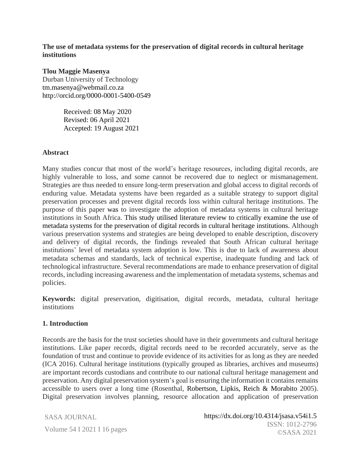**The use of metadata systems for the preservation of digital records in cultural heritage institutions**

#### **Tlou Maggie Masenya**

Durban University of Technology tm.masenya@webmail.co.za http://orcid.org/0000-0001-5400-0549

> Received: 08 May 2020 Revised: 06 April 2021 Accepted: 19 August 2021

#### **Abstract**

Many studies concur that most of the world's heritage resources, including digital records, are highly vulnerable to loss, and some cannot be recovered due to neglect or mismanagement. Strategies are thus needed to ensure long-term preservation and global access to digital records of enduring value. Metadata systems have been regarded as a suitable strategy to support digital preservation processes and prevent digital records loss within cultural heritage institutions. The purpose of this paper was to investigate the adoption of metadata systems in cultural heritage institutions in South Africa. This study utilised literature review to critically examine the use of metadata systems for the preservation of digital records in cultural heritage institutions. Although various preservation systems and strategies are being developed to enable description, discovery and delivery of digital records, the findings revealed that South African cultural heritage institutions' level of metadata system adoption is low. This is due to lack of awareness about metadata schemas and standards, lack of technical expertise, inadequate funding and lack of technological infrastructure. Several recommendations are made to enhance preservation of digital records, including increasing awareness and the implementation of metadata systems, schemas and policies.

**Keywords:** digital preservation, digitisation, digital records, metadata, cultural heritage institutions

#### **1. Introduction**

Records are the basis for the trust societies should have in their governments and cultural heritage institutions. Like paper records, digital records need to be recorded accurately, serve as the foundation of trust and continue to provide evidence of its activities for as long as they are needed (ICA 2016). Cultural heritage institutions (typically grouped as libraries, archives and museums) are important records custodians and contribute to our national cultural heritage management and preservation. Any digital preservation system's goal is ensuring the information it contains remains accessible to users over a long time (Rosenthal, Robertson, Lipkis, Reich & Morabito 2005). Digital preservation involves planning, resource allocation and application of preservation

SASA JOURNAL

Volume 54 I 2021 I 16 pages  $\frac{SSN:1}{\odot S4}$ https://dx.doi.org/10.4314/jsasa.v54i1.5 ISSN: 1012-2796 ©SASA 2021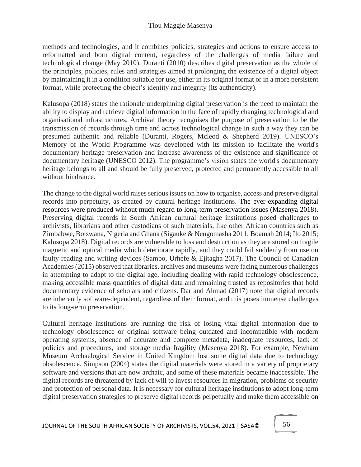methods and technologies, and it combines policies, strategies and actions to ensure access to reformatted and born digital content, regardless of the challenges of media failure and technological change (May 2010). Duranti (2010) describes digital preservation as the whole of the principles, policies, rules and strategies aimed at prolonging the existence of a digital object by maintaining it in a condition suitable for use, either in its original format or in a more persistent format, while protecting the object's identity and integrity (its authenticity).

Kalusopa (2018) states the rationale underpinning digital preservation is the need to maintain the ability to display and retrieve digital information in the face of rapidly changing technological and organisational infrastructures. Archival theory recognises the purpose of preservation to be the transmission of records through time and across technological change in such a way they can be presumed authentic and reliable (Duranti, Rogers, Mcleod & Shepherd 2019). UNESCO's Memory of the World Programme was developed with its mission to facilitate the world's documentary heritage preservation and increase awareness of the existence and significance of documentary heritage (UNESCO 2012). The programme's vision states the world's documentary heritage belongs to all and should be fully preserved, protected and permanently accessible to all without hindrance.

The change to the digital world raises serious issues on how to organise, access and preserve digital records into perpetuity, as created by cutural heritage institutions. The ever-expanding digital resources were produced without much regard to long-term preservation issues (Masenya 2018). Preserving digital records in South African cultural heritage institutions posed challenges to archivists, librarians and other custodians of such materials, like other African countries such as Zimbabwe, Botswana, Nigeria and Ghana (Sigauke & Nengomasha 2011; Boamah 2014; Ilo 2015; Kalusopa 2018). Digital records are vulnerable to loss and destruction as they are stored on fragile magnetic and optical media which deteriorate rapidly, and they could fail suddenly from use on faulty reading and writing devices (Sambo, Urhefe & Ejitagha 2017). The Council of Canadian Academies (2015) observed that libraries, archives and museums were facing numerous challenges in attempting to adapt to the digital age, including dealing with rapid technology obsolescence, making accessible mass quantities of digital data and remaining trusted as repositories that hold documentary evidence of scholars and citizens. Dar and Ahmad (2017) note that digital records are inherently software-dependent, regardless of their format, and this poses immense challenges to its long-term preservation.

Cultural heritage institutions are running the risk of losing vital digital information due to technology obsolescence or original software being outdated and incompatible with modern operating systems, absence of accurate and complete metadata, inadequate resources, lack of policies and procedures, and storage media fragility (Masenya 2018). For example, Newham Museum Archaelogical Service in United Kingdom lost some digital data due to technology obsolescence. Simpson (2004) states the digital materials were stored in a variety of proprietary software and versions that are now archaic, and some of these materials became inaccessible. The digital records are threatened by lack of will to invest resources in migration, problems of security and protection of personal data. It is necessary for cultural heritage institutions to adopt long-term digital preservation strategies to preserve digital records perpetually and make them accessible on

JOURNAL OF THE SOUTH AFRICAN SOCIETY OF ARCHIVISTS, VOL.54, 2021 | SASA©  $\|\hspace{0.8mm}$  56

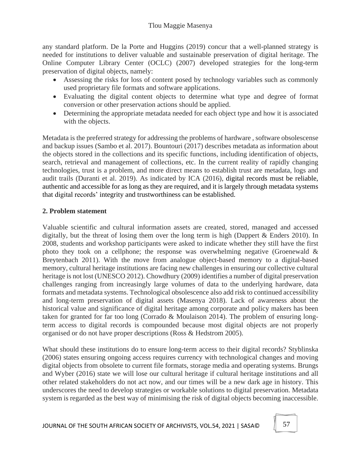any standard platform. De la Porte and Huggins (2019) concur that a well-planned strategy is needed for institutions to deliver valuable and sustainable preservation of digital heritage. The Online Computer Library Center (OCLC) (2007) developed strategies for the long-term preservation of digital objects, namely:

- Assessing the risks for loss of content posed by technology variables such as commonly used proprietary file formats and software applications.
- Evaluating the digital content objects to determine what type and degree of format conversion or other preservation actions should be applied.
- Determining the appropriate metadata needed for each object type and how it is associated with the objects.

Metadata is the preferred strategy for addressing the problems of hardware , software obsolescense and backup issues (Sambo et al. 2017). Bountouri (2017) describes metadata as information about the objects stored in the collections and its specific functions, including identification of objects, search, retrieval and management of collections, etc. In the current reality of rapidly changing technologies, trust is a problem, and more direct means to establish trust are metadata, logs and audit trails (Duranti et al. 2019). As indicated by ICA (2016), digital records must be reliable, authentic and accessible for as long as they are required, and it is largely through metadata systems that digital records' integrity and trustworthiness can be established.

### **2. Problem statement**

Valuable scientific and cultural information assets are created, stored, managed and accessed digitally, but the threat of losing them over the long term is high (Dappert & Enders 2010). In 2008, students and workshop participants were asked to indicate whether they still have the first photo they took on a cellphone; the response was overwhelming negative (Groenewald  $\&$ Breytenbach 2011). With the move from analogue object-based memory to a digital-based memory, cultural heritage institutions are facing new challenges in ensuring our collective cultural heritage is not lost (UNESCO 2012). Chowdhury (2009) identifies a number of digital preservation challenges ranging from increasingly large volumes of data to the underlying hardware, data formats and metadata systems. Technological obsolescence also add risk to continued accessibility and long-term preservation of digital assets (Masenya 2018). Lack of awareness about the historical value and significance of digital heritage among corporate and policy makers has been taken for granted for far too long (Corrado & Moulaison 2014). The problem of ensuring longterm access to digital records is compounded because most digital objects are not properly organised or do not have proper descriptions (Ross & Hedstrom 2005).

What should these institutions do to ensure long-term access to their digital records? Styblinska (2006) states ensuring ongoing access requires currency with technological changes and moving digital objects from obsolete to current file formats, storage media and operating systems. Brungs and Wyber (2016) state we will lose our cultural heritage if cultural heritage institutions and all other related stakeholders do not act now, and our times will be a new dark age in history. This underscores the need to develop strategies or workable solutions to digital preservation. Metadata system is regarded as the best way of minimising the risk of digital objects becoming inaccessible.

JOURNAL OF THE SOUTH AFRICAN SOCIETY OF ARCHIVISTS, VOL.54, 2021 | SASA©  $\parallel$  57

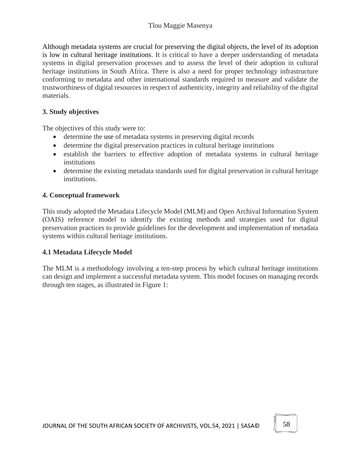### Tlou Maggie Masenya

Although metadata systems are crucial for preserving the digital objects, the level of its adoption is low in cultural heritage institutions. It is critical to have a deeper understanding of metadata systems in digital preservation processes and to assess the level of their adoption in cultural heritage institutions in South Africa. There is also a need for proper technology infrastructure conforming to metadata and other international standards required to measure and validate the trustworthiness of digital resources in respect of authenticity, integrity and reliability of the digital materials.

#### **3. Study objectives**

The objectives of this study were to:

- determine the use of metadata systems in preserving digital records
- determine the digital preservation practices in cultural heritage institutions
- establish the barriers to effective adoption of metadata systems in cultural heritage **institutions**
- determine the existing metadata standards used for digital preservation in cultural heritage institutions.

#### **4. Conceptual framework**

This study adopted the Metadata Lifecycle Model (MLM) and Open Archival Information System (OAIS) reference model to identify the existing methods and strategies used for digital preservation practices to provide guidelines for the development and implementation of metadata systems within cultural heritage institutions.

#### **4.1 Metadata Lifecycle Model**

The MLM is a methodology involving a ten-step process by which cultural heritage institutions can design and implement a successful metadata system. This model focuses on managing records through ten stages, as illustrated in Figure 1: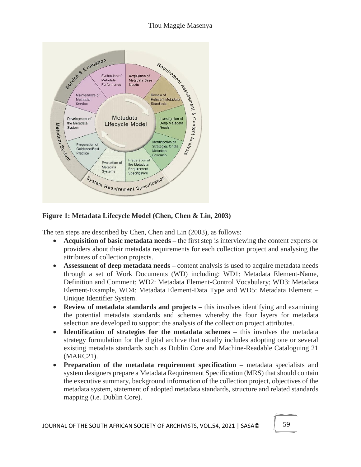

**Figure 1: Metadata Lifecycle Model (Chen, Chen & Lin, 2003)**

The ten steps are described by Chen, Chen and Lin (2003), as follows:

- **Acquisition of basic metadata needs –** the first step is interviewing the content experts or providers about their metadata requirements for each collection project and analysing the attributes of collection projects.
- **Assessment of deep metadata needs** content analysis is used to acquire metadata needs through a set of Work Documents (WD) including: WD1: Metadata Element-Name, Definition and Comment; WD2: Metadata Element-Control Vocabulary; WD3: Metadata Element-Example, WD4: Metadata Element-Data Type and WD5: Metadata Element – Unique Identifier System.
- **Review of metadata standards and projects –** this involves identifying and examining the potential metadata standards and schemes whereby the four layers for metadata selection are developed to support the analysis of the collection project attributes.
- **Identification of strategies for the metadata schemes –** this involves the metadata strategy formulation for the digital archive that usually includes adopting one or several existing metadata standards such as Dublin Core and Machine-Readable Cataloguing 21 (MARC21).
- **Preparation of the metadata requirement specification –** metadata specialists and system designers prepare a Metadata Requirement Specification (MRS) that should contain the executive summary, background information of the collection project, objectives of the metadata system, statement of adopted metadata standards, structure and related standards mapping (i.e. Dublin Core).

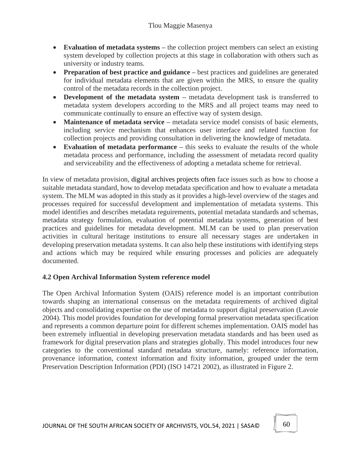- **Evaluation of metadata systems** the collection project members can select an existing system developed by collection projects at this stage in collaboration with others such as university or industry teams.
- **Preparation of best practice and guidance –** best practices and guidelines are generated for individual metadata elements that are given within the MRS, to ensure the quality control of the metadata records in the collection project.
- **Development of the metadata system –** metadata development task is transferred to metadata system developers according to the MRS and all project teams may need to communicate continually to ensure an effective way of system design.
- **Maintenance of metadata service –** metadata service model consists of basic elements, including service mechanism that enhances user interface and related function for collection projects and providing consultation in delivering the knowledge of metadata.
- **Evaluation of metadata performance** this seeks to evaluate the results of the whole metadata process and performance, including the assessment of metadata record quality and serviceability and the effectiveness of adopting a metadata scheme for retrieval.

In view of metadata provision, digital archives projects often face issues such as how to choose a suitable metadata standard, how to develop metadata specification and how to evaluate a metadata system. The MLM was adopted in this study as it provides a high-level overview of the stages and processes required for successful development and implementation of metadata systems. This model identifies and describes metadata reguirements, potential metadata standards and schemas, metadata strategy formulation, evaluation of potential metadata systems, generation of best practices and guidelines for metadata development. MLM can be used to plan preservation activities in cultural heritage institutions to ensure all necessary stages are undertaken in developing preservation metadata systems. It can also help these institutions with identifying steps and actions which may be required while ensuring processes and policies are adequately documented.

### **4.2 Open Archival Information System reference model**

The Open Archival Information System (OAIS) reference model is an important contribution towards shaping an international consensus on the metadata requirements of archived digital objects and consolidating expertise on the use of metadata to support digital preservation (Lavoie 2004). This model provides foundation for developing formal preservation metadata specification and represents a common departure point for different schemes implementation. OAIS model has been extremely influential in developing preservation metadata standards and has been used as framework for digital preservation plans and strategies globally. This model introduces four new categories to the conventional standard metadata structure, namely: reference information, provenance information, context information and fixity information, grouped under the term Preservation Description Information (PDI) (ISO 14721 2002), as illustrated in Figure 2.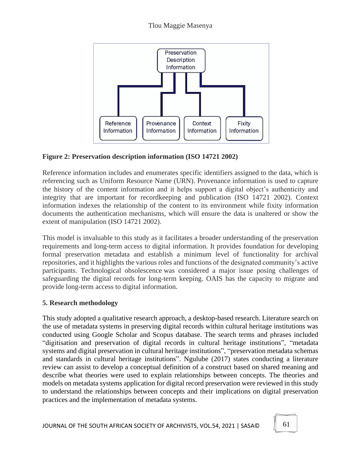

**Figure 2: Preservation description information (ISO 14721 2002)**

Reference information includes and enumerates specific identifiers assigned to the data, which is referencing such as Uniform Resource Name (URN). Provenance information is used to capture the history of the content information and it helps support a digital object's authenticity and integrity that are important for recordkeeping and publication (ISO 14721 2002). Context information indexes the relationship of the content to its environment while fixity information documents the authentication mechanisms, which will ensure the data is unaltered or show the extent of manipulation (ISO 14721 2002).

This model is invaluable to this study as it facilitates a broader understanding of the preservation requirements and long-term access to digital information. It provides foundation for developing formal preservation metadata and establish a minimum level of functionality for archival repositories, and it highlights the various roles and functions of the designated community's active participants. Technological obsolescence was considered a major issue posing challenges of safeguarding the digital records for long-term keeping. OAIS has the capacity to migrate and provide long-term access to digital information.

# **5. Research methodology**

This study adopted a qualitative research approach, a desktop-based research. Literature search on the use of metadata systems in preserving digital records within cultural heritage institutions was conducted using Google Scholar and Scopus database. The search terms and phrases included "digitisation and preservation of digital records in cultural heritage institutions", "metadata systems and digital preservation in cultural heritage institutions", "preservation metadata schemas and standards in cultural heritage institutions". Ngulube (2017) states conducting a literature review can assist to develop a conceptual definition of a construct based on shared meaning and describe what theories were used to explain relationships between concepts. The theories and models on metadata systems application for digital record preservation were reviewed in this study to understand the relationships between concepts and their implications on digital preservation practices and the implementation of metadata systems.

JOURNAL OF THE SOUTH AFRICAN SOCIETY OF ARCHIVISTS, VOL.54, 2021 | SASA©  $\|\hspace{0.1cm}$  61

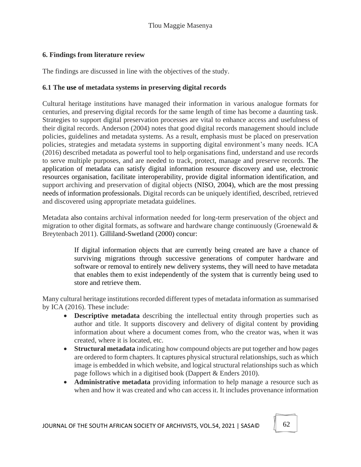### **6. Findings from literature review**

The findings are discussed in line with the objectives of the study.

#### **6.1 The use of metadata systems in preserving digital records**

Cultural heritage institutions have managed their information in various analogue formats for centuries, and preserving digital records for the same length of time has become a daunting task. Strategies to support digital preservation processes are vital to enhance access and usefulness of their digital records. Anderson (2004) notes that good digital records management should include policies, guidelines and metadata systems. As a result, emphasis must be placed on preservation policies, strategies and metadata systems in supporting digital environment's many needs. ICA (2016) described metadata as powerful tool to help organisations find, understand and use records to serve multiple purposes, and are needed to track, protect, manage and preserve records. The application of metadata can satisfy digital information resource discovery and use, electronic resources organisation, facilitate interoperability, provide digital information identification, and support archiving and preservation of digital objects (NISO, 2004), which are the most pressing needs of information professionals. Digital records can be uniquely identified, described, retrieved and discovered using appropriate metadata guidelines.

Metadata also contains archival information needed for long-term preservation of the object and migration to other digital formats, as software and hardware change continuously (Groenewald & Breytenbach 2011). Gilliland-Swetland (2000) concur:

> If digital information objects that are currently being created are have a chance of surviving migrations through successive generations of computer hardware and software or removal to entirely new delivery systems, they will need to have metadata that enables them to exist independently of the system that is currently being used to store and retrieve them.

Many cultural heritage institutions recorded different types of metadata information as summarised by ICA (2016). These include:

- **Descriptive metadata** describing the intellectual entity through properties such as author and title. It supports discovery and delivery of digital content by providing information about where a document comes from, who the creator was, when it was created, where it is located, etc.
- **Structural metadata** indicating how compound objects are put together and how pages are ordered to form chapters. It captures physical structural relationships, such as which image is embedded in which website, and logical structural relationships such as which page follows which in a digitised book (Dappert & Enders 2010).
- **Administrative metadata** providing information to help manage a resource such as when and how it was created and who can access it. It includes provenance information

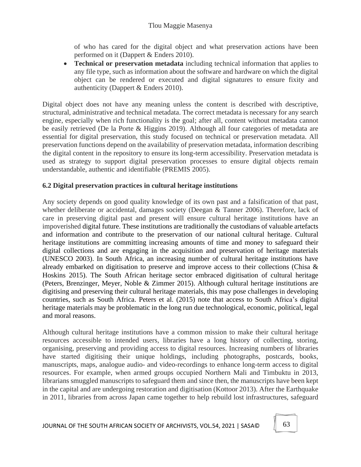of who has cared for the digital object and what preservation actions have been performed on it (Dappert & Enders 2010).

• **Technical or preservation metadata** including technical information that applies to any file type, such as information about the software and hardware on which the digital object can be rendered or executed and digital signatures to ensure fixity and authenticity (Dappert & Enders 2010).

Digital object does not have any meaning unless the content is described with descriptive, structural, administrative and technical metadata. The correct metadata is necessary for any search engine, especially when rich functionality is the goal; after all, content without metadata cannot be easily retrieved (De la Porte & Higgins 2019). Although all four categories of metadata are essential for digital preservation, this study focused on technical or preservation metadata. All preservation functions depend on the availability of preservation metadata, information describing the digital content in the repository to ensure its long-term accessibility. Preservation metadata is used as strategy to support digital preservation processes to ensure digital objects remain understandable, authentic and identifiable (PREMIS 2005).

## **6.2 Digital preservation practices in cultural heritage institutions**

Any society depends on good quality knowledge of its own past and a falsification of that past, whether deliberate or accidental, damages society (Deegan & Tanner 2006). Therefore, lack of care in preserving digital past and present will ensure cultural heritage institutions have an impoverished digital future. These institutions are traditionally the custodians of valuable artefacts and information and contribute to the preservation of our national cultural heritage. Cultural heritage institutions are committing increasing amounts of time and money to safeguard their digital collections and are engaging in the acquisition and preservation of heritage materials (UNESCO 2003). In South Africa, an increasing number of cultural heritage institutions have already embarked on digitisation to preserve and improve access to their collections (Chisa & Hoskins 2015). The South African heritage sector embraced digitisation of cultural heritage (Peters, Brenzinger, Meyer, Noble & Zimmer 2015). Although cultural heritage institutions are digitising and preserving their cultural heritage materials, this may pose challenges in developing countries, such as South Africa. Peters et al. (2015) note that access to South Africa's digital heritage materials may be problematic in the long run due technological, economic, political, legal and moral reasons.

Although cultural heritage institutions have a common mission to make their cultural heritage resources accessible to intended users, libraries have a long history of collecting, storing, organising, preserving and providing access to digital resources. Increasing numbers of libraries have started digitising their unique holdings, including photographs, postcards, books, manuscripts, maps, analogue audio- and video-recordings to enhance long-term access to digital resources. For example, when armed groups occupied Northern Mali and Timbuktu in 2013, librarians smuggled manuscripts to safeguard them and since then, the manuscripts have been kept in the capital and are undergoing restoration and digitisation (Kottoor 2013). After the Earthquake in 2011, libraries from across Japan came together to help rebuild lost infrastructures, safeguard

JOURNAL OF THE SOUTH AFRICAN SOCIETY OF ARCHIVISTS, VOL.54, 2021 | SASA©  $\begin{bmatrix} 63 \end{bmatrix}$ 

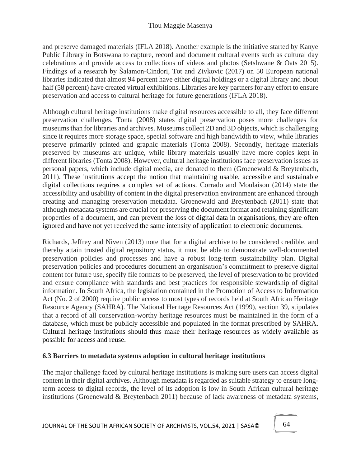and preserve damaged materials (IFLA 2018). Another example is the initiative started by Kanye Public Library in Botswana to capture, record and document cultural events such as cultural day celebrations and provide access to collections of videos and photos (Setshwane & Oats 2015). Findings of a research by Šalamon-Cindori, Tot and Zivkovic (2017) on 50 European national libraries indicated that almost 94 percent have either digital holdings or a digital library and about half (58 percent) have created virtual exhibitions. Libraries are key partners for any effort to ensure preservation and access to cultural heritage for future generations (IFLA 2018).

Although cultural heritage institutions make digital resources accessible to all, they face different preservation challenges. Tonta (2008) states digital preservation poses more challenges for museums than for libraries and archives. Museums collect 2D and 3D objects, which is challenging since it requires more storage space, special software and high bandwidth to view, while libraries preserve primarily printed and graphic materials (Tonta 2008). Secondly, heritage materials preserved by museums are unique, while library materials usually have more copies kept in different libraries (Tonta 2008). However, cultural heritage institutions face preservation issues as personal papers, which include digital media, are donated to them (Groenewald & Breytenbach, 2011). These institutions accept the notion that maintaining usable, accessible and sustainable digital collections requires a complex set of actions. Corrado and Moulaison (2014) state the accessibility and usability of content in the digital preservation environment are enhanced through creating and managing preservation metadata. Groenewald and Breytenbach (2011) state that although metadata systems are crucial for preserving the document format and retaining significant properties of a document, and can prevent the loss of digital data in organisations, they are often ignored and have not yet received the same intensity of application to electronic documents.

Richards, Jeffrey and Niven (2013) note that for a digital archive to be considered credible, and thereby attain trusted digital repository status, it must be able to demonstrate well-documented preservation policies and processes and have a robust long-term sustainability plan. Digital preservation policies and procedures document an organisation's commitment to preserve digital content for future use, specify file formats to be preserved, the level of preservation to be provided and ensure compliance with standards and best practices for responsible stewardship of digital information. In South Africa, the legislation contained in the Promotion of Access to Information Act (No. 2 of 2000) require public access to most types of records held at South African Heritage Resource Agency (SAHRA). The National Heritage Resources Act (1999), section 39, stipulates that a record of all conservation-worthy heritage resources must be maintained in the form of a database, which must be publicly accessible and populated in the format prescribed by SAHRA. Cultural heritage institutions should thus make their heritage resources as widely available as possible for access and reuse.

# **6.3 Barriers to metadata systems adoption in cultural heritage institutions**

The major challenge faced by cultural heritage institutions is making sure users can access digital content in their digital archives. Although metadata is regarded as suitable strategy to ensure longterm access to digital records, the level of its adoption is low in South African cultural heritage institutions (Groenewald & Breytenbach 2011) because of lack awareness of metadata systems,

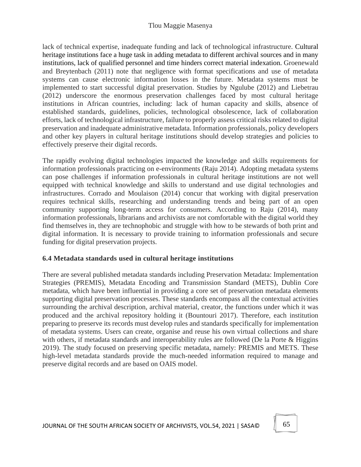lack of technical expertise, inadequate funding and lack of technological infrastructure. Cultural heritage institutions face a huge task in adding metadata to different archival sources and in many institutions, lack of qualified personnel and time hinders correct material indexation. Groenewald and Breytenbach (2011) note that negligence with format specifications and use of metadata systems can cause electronic information losses in the future. Metadata systems must be implemented to start successful digital preservation. Studies by Ngulube (2012) and Liebetrau (2012) underscore the enormous preservation challenges faced by most cultural heritage institutions in African countries, including: lack of human capacity and skills, absence of established standards, guidelines, policies, technological obsolescence, lack of collaboration efforts, lack of technological infrastructure, failure to properly assess critical risks related to digital preservation and inadequate administrative metadata. Information professionals, policy developers and other key players in cultural heritage institutions should develop strategies and policies to effectively preserve their digital records.

The rapidly evolving digital technologies impacted the knowledge and skills requirements for information professionals practicing on e-environments (Raju 2014). Adopting metadata systems can pose challenges if information professionals in cultural heritage institutions are not well equipped with technical knowledge and skills to understand and use digital technologies and infrastructures. Corrado and Moulaison (2014) concur that working with digital preservation requires technical skills, researching and understanding trends and being part of an open community supporting long-term access for consumers. According to Raju (2014), many information professionals, librarians and archivists are not comfortable with the digital world they find themselves in, they are technophobic and struggle with how to be stewards of both print and digital information. It is necessary to provide training to information professionals and secure funding for digital preservation projects.

### **6.4 Metadata standards used in cultural heritage institutions**

There are several published metadata standards including Preservation Metadata: Implementation Strategies (PREMIS), Metadata Encoding and Transmission Standard (METS), Dublin Core metadata, which have been influential in providing a core set of preservation metadata elements supporting digital preservation processes. These standards encompass all the contextual activities surrounding the archival description, archival material, creator, the functions under which it was produced and the archival repository holding it (Bountouri 2017). Therefore, each institution preparing to preserve its records must develop rules and standards specifically for implementation of metadata systems. Users can create, organise and reuse his own virtual collections and share with others, if metadata standards and interoperability rules are followed (De la Porte & Higgins 2019). The study focused on preserving specific metadata, namely: PREMIS and METS. These high-level metadata standards provide the much-needed information required to manage and preserve digital records and are based on OAIS model.

JOURNAL OF THE SOUTH AFRICAN SOCIETY OF ARCHIVISTS, VOL.54, 2021 | SASA©  $\parallel$  65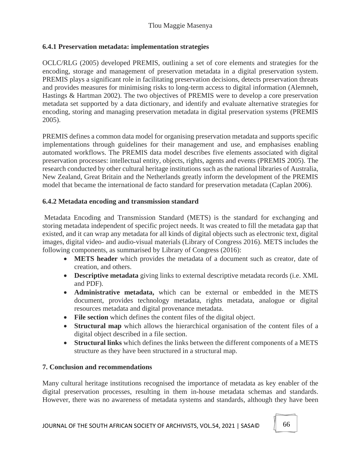### **6.4.1 Preservation metadata: implementation strategies**

OCLC/RLG (2005) developed PREMIS, outlining a set of core elements and strategies for the encoding, storage and management of preservation metadata in a digital preservation system. PREMIS plays a significant role in facilitating preservation decisions, detects preservation threats and provides measures for minimising risks to long-term access to digital information (Alemneh, Hastings & Hartman 2002). The two objectives of PREMIS were to develop a core preservation metadata set supported by a data dictionary, and identify and evaluate alternative strategies for encoding, storing and managing preservation metadata in digital preservation systems (PREMIS 2005).

PREMIS defines a common data model for organising preservation metadata and supports specific implementations through guidelines for their management and use, and emphasises enabling automated workflows. The PREMIS data model describes five elements associated with digital preservation processes: intellectual entity, objects, rights, agents and events (PREMIS 2005). The research conducted by other cultural heritage institutions such as the national libraries of Australia, New Zealand, Great Britain and the Netherlands greatly inform the development of the PREMIS model that became the international de facto standard for preservation metadata (Caplan 2006).

### **6.4.2 Metadata encoding and transmission standard**

Metadata Encoding and Transmission Standard (METS) is the standard for exchanging and storing metadata independent of specific project needs. It was created to fill the metadata gap that existed, and it can wrap any metadata for all kinds of digital objects such as electronic text, digital images, digital video- and audio-visual materials (Library of Congress 2016). METS includes the following components, as summarised by Library of Congress (2016):

- **METS header** which provides the metadata of a document such as creator, date of creation, and others.
- **Descriptive metadata** giving links to external descriptive metadata records (i.e. XML and PDF).
- **Administrative metadata,** which can be external or embedded in the METS document, provides technology metadata, rights metadata, analogue or digital resources metadata and digital provenance metadata.
- **File section** which defines the content files of the digital object.
- **Structural map** which allows the hierarchical organisation of the content files of a digital object described in a file section.
- **Structural links** which defines the links between the different components of a METS structure as they have been structured in a structural map.

### **7. Conclusion and recommendations**

Many cultural heritage institutions recognised the importance of metadata as key enabler of the digital preservation processes, resulting in them in-house metadata schemas and standards. However, there was no awareness of metadata systems and standards, although they have been

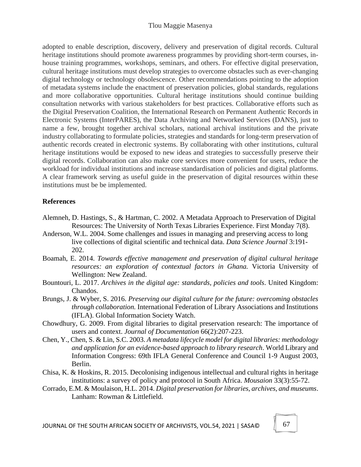#### Tlou Maggie Masenya

adopted to enable description, discovery, delivery and preservation of digital records. Cultural heritage institutions should promote awareness programmes by providing short-term courses, inhouse training programmes, workshops, seminars, and others. For effective digital preservation, cultural heritage institutions must develop strategies to overcome obstacles such as ever-changing digital technology or technology obsolescence. Other recommendations pointing to the adoption of metadata systems include the enactment of preservation policies, global standards, regulations and more collaborative opportunities. Cultural heritage institutions should continue building consultation networks with various stakeholders for best practices. Collaborative efforts such as the Digital Preservation Coalition, the International Research on Permanent Authentic Records in Electronic Systems (InterPARES), the Data Archiving and Networked Services (DANS), just to name a few, brought together archival scholars, national archival institutions and the private industry collaborating to formulate policies, strategies and standards for long-term preservation of authentic records created in electronic systems. By collaborating with other institutions, cultural heritage institutions would be exposed to new ideas and strategies to successfully preserve their digital records. Collaboration can also make core services more convenient for users, reduce the workload for individual institutions and increase standardisation of policies and digital platforms. A clear framework serving as useful guide in the preservation of digital resources within these institutions must be be implemented.

#### **References**

- Alemneh, D. Hastings, S., & Hartman, C. 2002. A Metadata Approach to Preservation of Digital Resources: The University of North Texas Libraries Experience. First Monday 7(8).
- Anderson, W.L. 2004. Some challenges and issues in managing and preserving access to long live collections of digital scientific and technical data. *Data Science Journal* 3:191- 202.
- Boamah, E. 2014. *Towards effective management and preservation of digital cultural heritage resources: an exploration of contextual factors in Ghana.* Victoria University of Wellington: New Zealand.
- Bountouri, L. 2017. *Archives in the digital age: standards, policies and tools*. United Kingdom: Chandos.
- Brungs, J. & Wyber, S. 2016. *Preserving our digital culture for the future: overcoming obstacles through collaboration.* International Federation of Library Associations and Institutions (IFLA). Global Information Society Watch.
- Chowdhury, G. 2009. From digital libraries to digital preservation research: The importance of users and context. *Journal of Documentation* 66(2):207-223.
- Chen, Y., Chen, S. & Lin, S.C. 2003. *A metadata lifecycle model for digital libraries: methodology and application for an evidence-based approach to library research*. World Library and Information Congress: 69th IFLA General Conference and Council 1-9 August 2003, Berlin.
- Chisa, K. & Hoskins, R. 2015. Decolonising indigenous intellectual and cultural rights in heritage institutions: a survey of policy and protocol in South Africa. *Mousaion* 33(3):55-72.
- Corrado, E.M. & Moulaison, H.L. 2014. *Digital preservation for libraries, archives, and museums*. Lanham: Rowman & Littlefield.

JOURNAL OF THE SOUTH AFRICAN SOCIETY OF ARCHIVISTS, VOL.54, 2021 | SASA©  $\parallel$  67

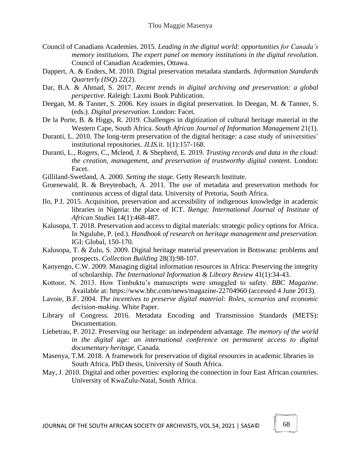- Council of Canadians Academies. 2015. *Leading in the digital world: opportunities for Canada's memory institutions. The expert panel on memory institutions in the digital revolution.* Council of Canadian Academies, Ottawa.
- Dappert, A. & Enders, M. 2010. Digital preservation metadata standards. *Information Standards Quarterly (ISQ*) 22(2).
- Dar, B.A. & Ahmad, S. 2017. *Recent trends in digital archiving and preservation: a global perspective.* Raleigh: Laxmi Book Publication.
- Deegan, M. & Tanner, S. 2006. Key issues in digital preservation. In Deegan, M. & Tanner, S. (eds.). *Digital preservation*. London: Facet.
- De la Porte, B. & Higgs, R. 2019. Challenges in digitization of cultural heritage material in the Western Cape, South Africa. *South African Journal of Information Management* 21(1).
- Duranti, L. 2010. The long-term preservation of the digital heritage: a case study of universities' institutional repositories. *JLIS.it*. 1(1):157-168.
- Duranti, L., Rogers, C., Mcleod, J. & Shepherd, E. 2019. *Trusting records and data in the cloud: the creation, management, and preservation of trustworthy digital content*. London: Facet.
- Gilliland-Swetland, A. 2000. *Setting the stage.* Getty Research Institute.
- Groenewald, R. & Breytenbach, A. 2011. The use of metadata and preservation methods for continuous access of digtal data. University of Pretoria, South Africa.
- Ilo, P.I. 2015. Acquisition, preservation and accessibility of indigenous knowledge in academic libraries in Nigeria: the place of ICT. *Ikenga: International Journal of Institute of African Studies* 14(1):468-487.
- Kalusopa, T. 2018. Preservation and access to digital materials: strategic policy options for Africa. In Ngulube, P. (ed.). *Handbook of research on heritage management and preservation.* IGI: Global, 150-170.
- Kalusopa, T. & Zulu, S. 2009. Digital heritage material preservation in Botswana: problems and prospects. *Collection Building* 28(3):98-107.
- Kanyengo, C.W. 2009. Managing digital information resources in Africa: Preserving the integrity of scholarship. *The International Information & Library Review* 41(1):34-43.
- Kottoor, N. 2013. How Timbuktu's manuscripts were smuggled to safety. *BBC Magazine*. Available at: https://www.bbc.com/news/magazine-22704960 (accessed 4 June 2013).
- Lavoie, B.F. 2004. *The incentives to preserve digital material: Roles, scenarios and economic decision-making.* White Paper.
- Library of Congress. 2016. Metadata Encoding and Transmission Standards (METS): Documentation.
- Liebetrau, P. 2012. Preserving our heritage: an independent advantage. *The memory of the world in the digital age: an international conference on permanent access to digital documentary heritage.* Canada.
- Masenya, T.M. 2018. A framework for preservation of digital resources in academic libraries in South Africa. PhD thesis, University of South Africa.
- May, J. 2010. Digital and other poverties: exploring the connection in four East African countries. University of KwaZulu-Natal, South Africa.

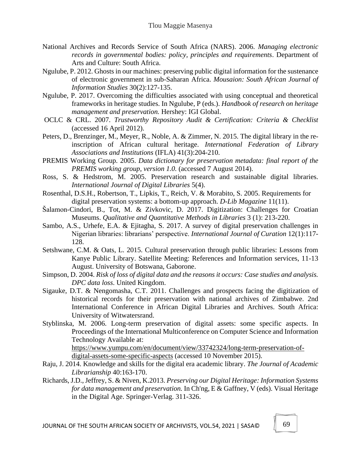- National Archives and Records Service of South Africa (NARS). 2006. *Managing electronic records in governmental bodies: policy, principles and requirements*. Department of Arts and Culture: South Africa.
- Ngulube, P. 2012. Ghosts in our machines: preserving public digital information for the sustenance of electronic government in sub-Saharan Africa. *Mousaion: South African Journal of Information Studies* 30(2):127-135.
- Ngulube, P. 2017. Overcoming the difficulties associated with using conceptual and theoretical frameworks in heritage studies. In Ngulube, P (eds.). *Handbook of research on heritage management and preservation.* Hershey: IGI Global.
- OCLC & CRL. 2007. *Trustworthy Repository Audit & Certification: Criteria & Checklist* (accessed 16 April 2012).
- Peters, D., Brenzinger, M., Meyer, R., Noble, A. & Zimmer, N. 2015. The digital library in the reinscription of African cultural heritage. *International Federation of Library Associations and Institutions* (IFLA) 41(3):204-210.
- PREMIS Working Group. 2005. *Data dictionary for preservation metadata: final report of the PREMIS working group, version 1.0.* (accessed 7 August 2014).
- Ross, S. & Hedstrom, M. 2005. Preservation research and sustainable digital libraries. *International Journal of Digital Libraries* 5(4).
- Rosenthal, D.S.H., Robertson, T., Lipkis, T., Reich, V. & Morabito, S. 2005. Requirements for digital preservation systems: a bottom-up approach. *D-Lib Magazine* 11(11).
- Šalamon-Cindori, B., Tot, M. & Zivkovic, D. 2017. Digitization: Challenges for Croatian Museums. *Qualitative and Quantitative Methods in Libraries* 3 (1): 213-220.
- Sambo, A.S., Urhefe, E.A. & Ejitagha, S. 2017. A survey of digital preservation challenges in Nigerian libraries: librarians' perspective. *International Journal of Curation* 12(1):117- 128.
- Setshwane, C.M. & Oats, L. 2015. Cultural preservation through public libraries: Lessons from Kanye Public Library. Satellite Meeting: References and Information services, 11-13 August. University of Botswana, Gaborone.
- Simpson, D. 2004. *Risk of loss of digital data and the reasons it occurs: Case studies and analysis. DPC data loss*. United Kingdom.
- Sigauke, D.T. & Nengomasha, C.T. 2011. Challenges and prospects facing the digitization of historical records for their preservation with national archives of Zimbabwe*.* 2nd International Conference in African Digital Libraries and Archives. South Africa: University of Witwatersrand.
- Styblinska, M. 2006. Long-term preservation of digital assets: some specific aspects. In Proceedings of the International Multiconference on Computer Science and Information Technology Available at: https://www.yumpu.com/en/document/view/33742324/long-term-preservation-of-

digital-assets-some-specific-aspects (accessed 10 November 2015).

- Raju, J. 2014. Knowledge and skills for the digital era academic library. *The Journal of Academic Librarianship* 40:163-170.
- Richards, J.D., Jeffrey, S. & Niven, K.2013. *Preserving our Digital Heritage: Information Systems for data management and preservation.* In Ch'ng, E & Gaffney, V (eds). Visual Heritage in the Digital Age. Springer-Verlag. 311-326.